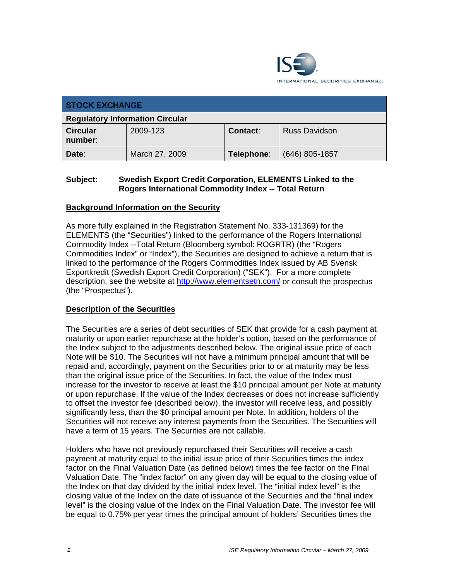

| <b>STOCK EXCHANGE</b>                  |                |            |                  |
|----------------------------------------|----------------|------------|------------------|
| <b>Regulatory Information Circular</b> |                |            |                  |
| <b>Circular</b><br>number:             | 2009-123       | Contact:   | Russ Davidson    |
| Date:                                  | March 27, 2009 | Telephone: | $(646)$ 805-1857 |

## **Subject: Swedish Export Credit Corporation, ELEMENTS Linked to the Rogers International Commodity Index -- Total Return**

## **Background Information on the Security**

As more fully explained in the Registration Statement No. 333-131369) for the ELEMENTS (the "Securities") linked to the performance of the Rogers International Commodity Index --Total Return (Bloomberg symbol: ROGRTR) (the "Rogers Commodities Index" or "Index"), the Securities are designed to achieve a return that is linked to the performance of the Rogers Commodities Index issued by AB Svensk Exportkredit (Swedish Export Credit Corporation) ("SEK"). For a more complete description, see the website at http://www.elementsetn.com/ or consult the prospectus (the "Prospectus").

## **Description of the Securities**

The Securities are a series of debt securities of SEK that provide for a cash payment at maturity or upon earlier repurchase at the holder's option, based on the performance of the Index subject to the adjustments described below. The original issue price of each Note will be \$10. The Securities will not have a minimum principal amount that will be repaid and, accordingly, payment on the Securities prior to or at maturity may be less than the original issue price of the Securities. In fact, the value of the Index must increase for the investor to receive at least the \$10 principal amount per Note at maturity or upon repurchase. If the value of the Index decreases or does not increase sufficiently to offset the investor fee (described below), the investor will receive less, and possibly significantly less, than the \$0 principal amount per Note. In addition, holders of the Securities will not receive any interest payments from the Securities. The Securities will have a term of 15 years. The Securities are not callable.

Holders who have not previously repurchased their Securities will receive a cash payment at maturity equal to the initial issue price of their Securities times the index factor on the Final Valuation Date (as defined below) times the fee factor on the Final Valuation Date. The "index factor" on any given day will be equal to the closing value of the Index on that day divided by the initial index level. The "initial index level" is the closing value of the Index on the date of issuance of the Securities and the "final index level" is the closing value of the Index on the Final Valuation Date. The investor fee will be equal to 0.75% per year times the principal amount of holders' Securities times the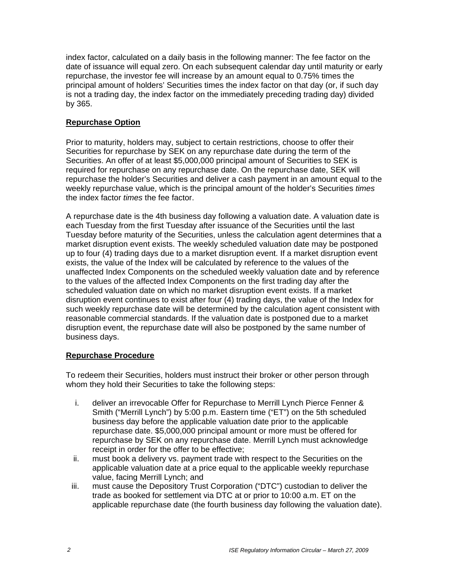index factor, calculated on a daily basis in the following manner: The fee factor on the date of issuance will equal zero. On each subsequent calendar day until maturity or early repurchase, the investor fee will increase by an amount equal to 0.75% times the principal amount of holders' Securities times the index factor on that day (or, if such day is not a trading day, the index factor on the immediately preceding trading day) divided by 365.

## **Repurchase Option**

Prior to maturity, holders may, subject to certain restrictions, choose to offer their Securities for repurchase by SEK on any repurchase date during the term of the Securities. An offer of at least \$5,000,000 principal amount of Securities to SEK is required for repurchase on any repurchase date. On the repurchase date, SEK will repurchase the holder's Securities and deliver a cash payment in an amount equal to the weekly repurchase value, which is the principal amount of the holder's Securities *times*  the index factor *times* the fee factor.

A repurchase date is the 4th business day following a valuation date. A valuation date is each Tuesday from the first Tuesday after issuance of the Securities until the last Tuesday before maturity of the Securities, unless the calculation agent determines that a market disruption event exists. The weekly scheduled valuation date may be postponed up to four (4) trading days due to a market disruption event. If a market disruption event exists, the value of the Index will be calculated by reference to the values of the unaffected Index Components on the scheduled weekly valuation date and by reference to the values of the affected Index Components on the first trading day after the scheduled valuation date on which no market disruption event exists. If a market disruption event continues to exist after four (4) trading days, the value of the Index for such weekly repurchase date will be determined by the calculation agent consistent with reasonable commercial standards. If the valuation date is postponed due to a market disruption event, the repurchase date will also be postponed by the same number of business days.

## **Repurchase Procedure**

To redeem their Securities, holders must instruct their broker or other person through whom they hold their Securities to take the following steps:

- i. deliver an irrevocable Offer for Repurchase to Merrill Lynch Pierce Fenner & Smith ("Merrill Lynch") by 5:00 p.m. Eastern time ("ET") on the 5th scheduled business day before the applicable valuation date prior to the applicable repurchase date. \$5,000,000 principal amount or more must be offered for repurchase by SEK on any repurchase date. Merrill Lynch must acknowledge receipt in order for the offer to be effective;
- ii. must book a delivery vs. payment trade with respect to the Securities on the applicable valuation date at a price equal to the applicable weekly repurchase value, facing Merrill Lynch; and
- iii. must cause the Depository Trust Corporation ("DTC") custodian to deliver the trade as booked for settlement via DTC at or prior to 10:00 a.m. ET on the applicable repurchase date (the fourth business day following the valuation date).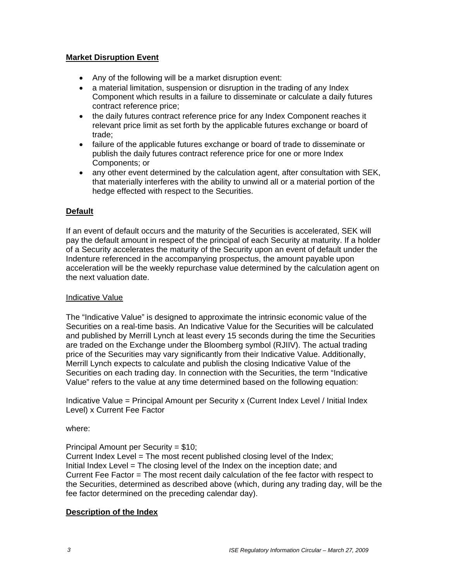## **Market Disruption Event**

- Any of the following will be a market disruption event:
- a material limitation, suspension or disruption in the trading of any Index Component which results in a failure to disseminate or calculate a daily futures contract reference price;
- the daily futures contract reference price for any Index Component reaches it relevant price limit as set forth by the applicable futures exchange or board of trade;
- failure of the applicable futures exchange or board of trade to disseminate or publish the daily futures contract reference price for one or more Index Components; or
- any other event determined by the calculation agent, after consultation with SEK, that materially interferes with the ability to unwind all or a material portion of the hedge effected with respect to the Securities.

## **Default**

If an event of default occurs and the maturity of the Securities is accelerated, SEK will pay the default amount in respect of the principal of each Security at maturity. If a holder of a Security accelerates the maturity of the Security upon an event of default under the Indenture referenced in the accompanying prospectus, the amount payable upon acceleration will be the weekly repurchase value determined by the calculation agent on the next valuation date.

### Indicative Value

The "Indicative Value" is designed to approximate the intrinsic economic value of the Securities on a real-time basis. An Indicative Value for the Securities will be calculated and published by Merrill Lynch at least every 15 seconds during the time the Securities are traded on the Exchange under the Bloomberg symbol (RJIIV). The actual trading price of the Securities may vary significantly from their Indicative Value. Additionally, Merrill Lynch expects to calculate and publish the closing Indicative Value of the Securities on each trading day. In connection with the Securities, the term "Indicative Value" refers to the value at any time determined based on the following equation:

Indicative Value = Principal Amount per Security x (Current Index Level / Initial Index Level) x Current Fee Factor

### where:

Principal Amount per Security = \$10;

Current Index Level = The most recent published closing level of the Index; Initial Index Level = The closing level of the Index on the inception date; and Current Fee Factor = The most recent daily calculation of the fee factor with respect to the Securities, determined as described above (which, during any trading day, will be the fee factor determined on the preceding calendar day).

### **Description of the Index**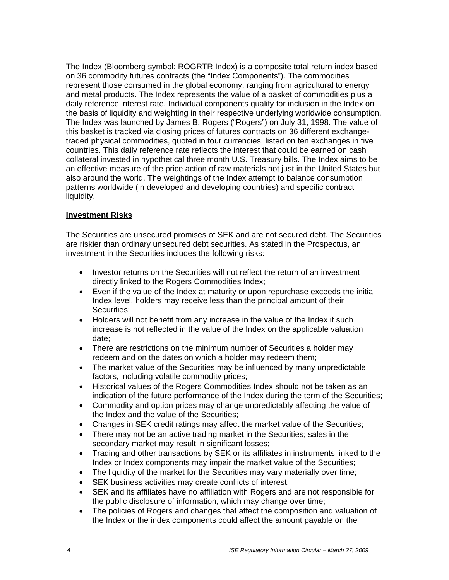The Index (Bloomberg symbol: ROGRTR Index) is a composite total return index based on 36 commodity futures contracts (the "Index Components"). The commodities represent those consumed in the global economy, ranging from agricultural to energy and metal products. The Index represents the value of a basket of commodities plus a daily reference interest rate. Individual components qualify for inclusion in the Index on the basis of liquidity and weighting in their respective underlying worldwide consumption. The Index was launched by James B. Rogers ("Rogers") on July 31, 1998. The value of this basket is tracked via closing prices of futures contracts on 36 different exchangetraded physical commodities, quoted in four currencies, listed on ten exchanges in five countries. This daily reference rate reflects the interest that could be earned on cash collateral invested in hypothetical three month U.S. Treasury bills. The Index aims to be an effective measure of the price action of raw materials not just in the United States but also around the world. The weightings of the Index attempt to balance consumption patterns worldwide (in developed and developing countries) and specific contract liquidity.

## **Investment Risks**

The Securities are unsecured promises of SEK and are not secured debt. The Securities are riskier than ordinary unsecured debt securities. As stated in the Prospectus, an investment in the Securities includes the following risks:

- Investor returns on the Securities will not reflect the return of an investment directly linked to the Rogers Commodities Index;
- Even if the value of the Index at maturity or upon repurchase exceeds the initial Index level, holders may receive less than the principal amount of their Securities;
- Holders will not benefit from any increase in the value of the Index if such increase is not reflected in the value of the Index on the applicable valuation date;
- There are restrictions on the minimum number of Securities a holder may redeem and on the dates on which a holder may redeem them;
- The market value of the Securities may be influenced by many unpredictable factors, including volatile commodity prices;
- Historical values of the Rogers Commodities Index should not be taken as an indication of the future performance of the Index during the term of the Securities;
- Commodity and option prices may change unpredictably affecting the value of the Index and the value of the Securities;
- Changes in SEK credit ratings may affect the market value of the Securities;
- There may not be an active trading market in the Securities; sales in the secondary market may result in significant losses;
- Trading and other transactions by SEK or its affiliates in instruments linked to the Index or Index components may impair the market value of the Securities;
- The liquidity of the market for the Securities may vary materially over time;
- SEK business activities may create conflicts of interest;
- SEK and its affiliates have no affiliation with Rogers and are not responsible for the public disclosure of information, which may change over time;
- The policies of Rogers and changes that affect the composition and valuation of the Index or the index components could affect the amount payable on the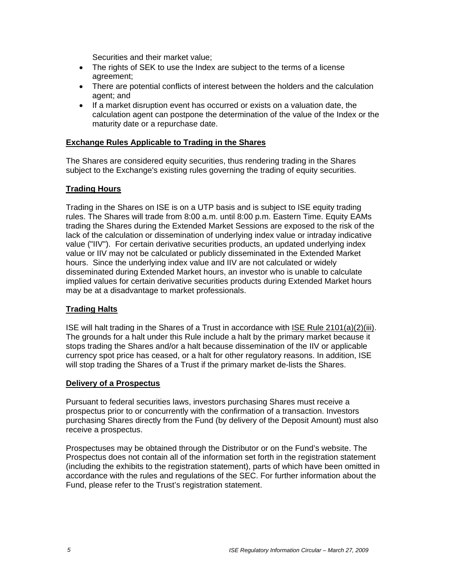Securities and their market value;

- The rights of SEK to use the Index are subject to the terms of a license agreement;
- There are potential conflicts of interest between the holders and the calculation agent; and
- If a market disruption event has occurred or exists on a valuation date, the calculation agent can postpone the determination of the value of the Index or the maturity date or a repurchase date.

## **Exchange Rules Applicable to Trading in the Shares**

The Shares are considered equity securities, thus rendering trading in the Shares subject to the Exchange's existing rules governing the trading of equity securities.

## **Trading Hours**

Trading in the Shares on ISE is on a UTP basis and is subject to ISE equity trading rules. The Shares will trade from 8:00 a.m. until 8:00 p.m. Eastern Time. Equity EAMs trading the Shares during the Extended Market Sessions are exposed to the risk of the lack of the calculation or dissemination of underlying index value or intraday indicative value ("IIV"). For certain derivative securities products, an updated underlying index value or IIV may not be calculated or publicly disseminated in the Extended Market hours. Since the underlying index value and IIV are not calculated or widely disseminated during Extended Market hours, an investor who is unable to calculate implied values for certain derivative securities products during Extended Market hours may be at a disadvantage to market professionals.

### **Trading Halts**

ISE will halt trading in the Shares of a Trust in accordance with ISE Rule 2101(a)(2)(iii). The grounds for a halt under this Rule include a halt by the primary market because it stops trading the Shares and/or a halt because dissemination of the IIV or applicable currency spot price has ceased, or a halt for other regulatory reasons. In addition, ISE will stop trading the Shares of a Trust if the primary market de-lists the Shares.

### **Delivery of a Prospectus**

Pursuant to federal securities laws, investors purchasing Shares must receive a prospectus prior to or concurrently with the confirmation of a transaction. Investors purchasing Shares directly from the Fund (by delivery of the Deposit Amount) must also receive a prospectus.

Prospectuses may be obtained through the Distributor or on the Fund's website. The Prospectus does not contain all of the information set forth in the registration statement (including the exhibits to the registration statement), parts of which have been omitted in accordance with the rules and regulations of the SEC. For further information about the Fund, please refer to the Trust's registration statement.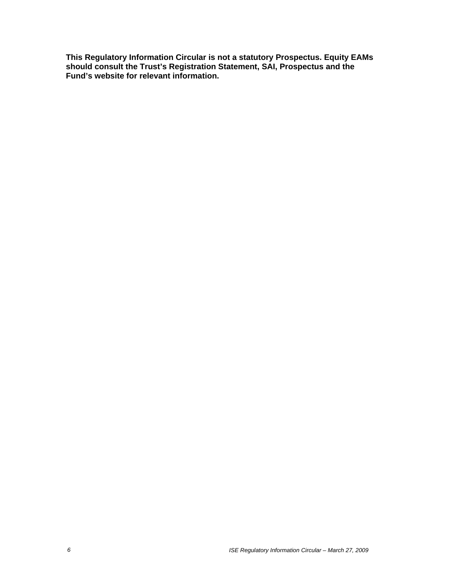**This Regulatory Information Circular is not a statutory Prospectus. Equity EAMs should consult the Trust's Registration Statement, SAI, Prospectus and the Fund's website for relevant information.**